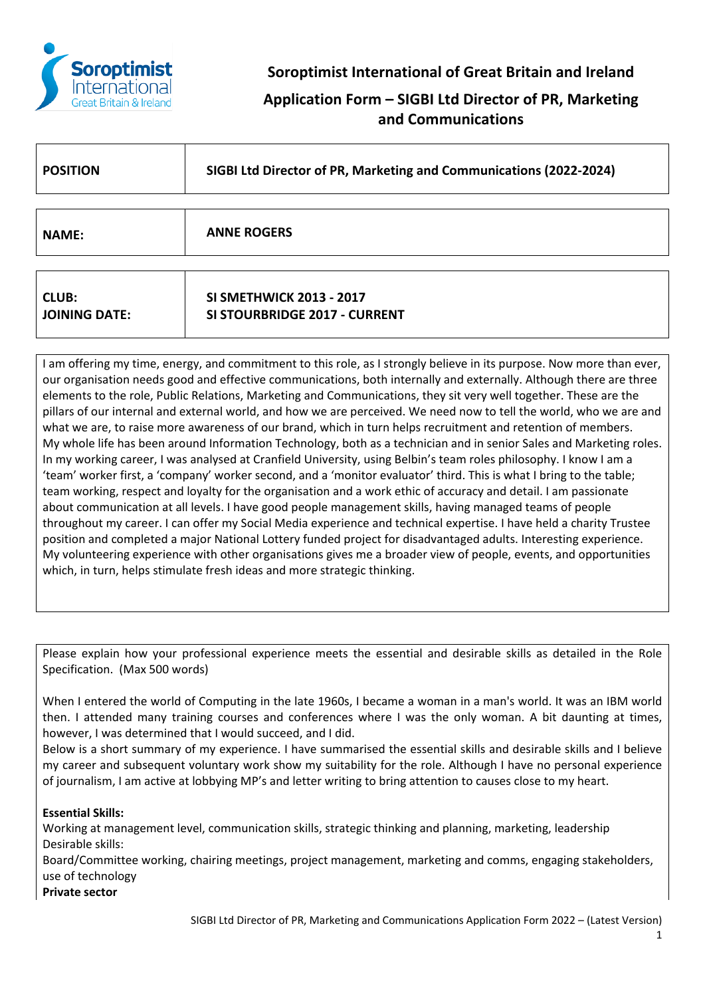

**Soroptimist International of Great Britain and Ireland**

**Application Form – SIGBI Ltd Director of PR, Marketing and Communications**

| <b>POSITION</b>                      | SIGBI Ltd Director of PR, Marketing and Communications (2022-2024)      |
|--------------------------------------|-------------------------------------------------------------------------|
|                                      |                                                                         |
| <b>NAME:</b>                         | <b>ANNE ROGERS</b>                                                      |
|                                      |                                                                         |
| <b>CLUB:</b><br><b>JOINING DATE:</b> | <b>SI SMETHWICK 2013 - 2017</b><br><b>SI STOURBRIDGE 2017 - CURRENT</b> |

I am offering my time, energy, and commitment to this role, as I strongly believe in its purpose. Now more than ever, our organisation needs good and effective communications, both internally and externally. Although there are three elements to the role, Public Relations, Marketing and Communications, they sit very well together. These are the pillars of our internal and external world, and how we are perceived. We need now to tell the world, who we are and what we are, to raise more awareness of our brand, which in turn helps recruitment and retention of members. My whole life has been around Information Technology, both as a technician and in senior Sales and Marketing roles. In my working career, I was analysed at Cranfield University, using Belbin's team roles philosophy. I know I am a 'team' worker first, a 'company' worker second, and a 'monitor evaluator' third. This is what I bring to the table; team working, respect and loyalty for the organisation and a work ethic of accuracy and detail. I am passionate about communication at all levels. I have good people management skills, having managed teams of people throughout my career. I can offer my Social Media experience and technical expertise. I have held a charity Trustee position and completed a major National Lottery funded project for disadvantaged adults. Interesting experience. My volunteering experience with other organisations gives me a broader view of people, events, and opportunities which, in turn, helps stimulate fresh ideas and more strategic thinking.

Please explain how your professional experience meets the essential and desirable skills as detailed in the Role Specification. (Max 500 words)

When I entered the world of Computing in the late 1960s, I became a woman in a man's world. It was an IBM world then. I attended many training courses and conferences where I was the only woman. A bit daunting at times, however, I was determined that I would succeed, and I did.

Below is a short summary of my experience. I have summarised the essential skills and desirable skills and I believe my career and subsequent voluntary work show my suitability for the role. Although I have no personal experience of journalism, I am active at lobbying MP's and letter writing to bring attention to causes close to my heart.

# **Essential Skills:**

Working at management level, communication skills, strategic thinking and planning, marketing, leadership Desirable skills:

Board/Committee working, chairing meetings, project management, marketing and comms, engaging stakeholders, use of technology

**Private sector**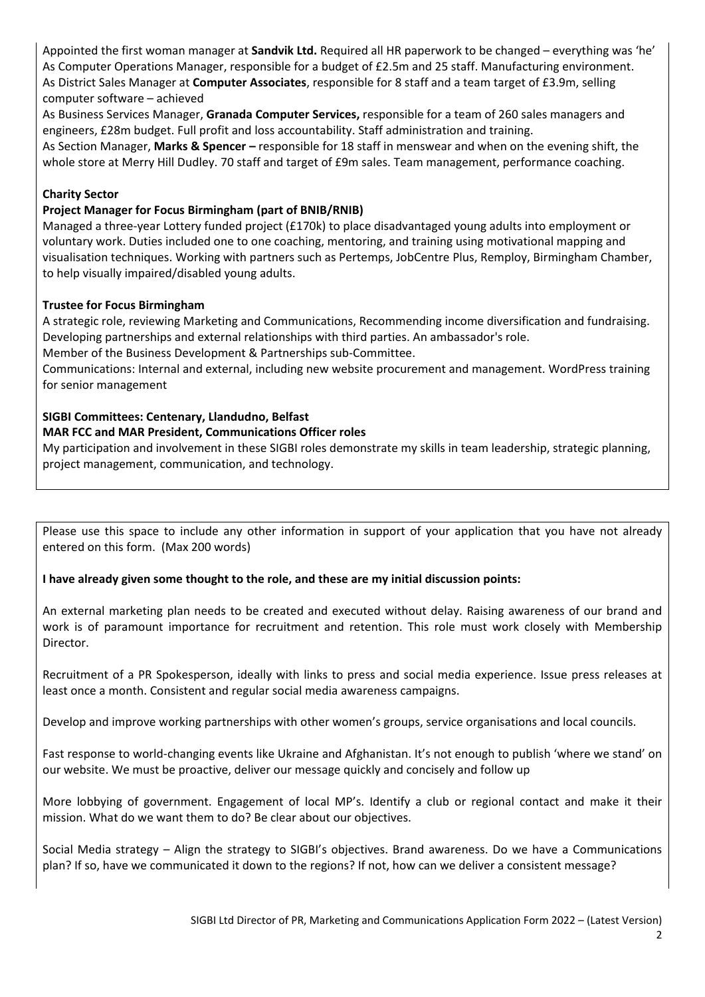Appointed the first woman manager at **Sandvik Ltd.** Required all HR paperwork to be changed – everything was 'he' As Computer Operations Manager, responsible for a budget of £2.5m and 25 staff. Manufacturing environment. As District Sales Manager at **Computer Associates**, responsible for 8 staff and a team target of £3.9m, selling computer software – achieved

As Business Services Manager, **Granada Computer Services,** responsible for a team of 260 sales managers and engineers, £28m budget. Full profit and loss accountability. Staff administration and training.

As Section Manager, **Marks & Spencer –** responsible for 18 staff in menswear and when on the evening shift, the whole store at Merry Hill Dudley. 70 staff and target of £9m sales. Team management, performance coaching.

# **Charity Sector**

## **Project Manager for Focus Birmingham (part of BNIB/RNIB)**

Managed a three-year Lottery funded project (£170k) to place disadvantaged young adults into employment or voluntary work. Duties included one to one coaching, mentoring, and training using motivational mapping and visualisation techniques. Working with partners such as Pertemps, JobCentre Plus, Remploy, Birmingham Chamber, to help visually impaired/disabled young adults.

## **Trustee for Focus Birmingham**

A strategic role, reviewing Marketing and Communications, Recommending income diversification and fundraising. Developing partnerships and external relationships with third parties. An ambassador's role.

Member of the Business Development & Partnerships sub-Committee.

Communications: Internal and external, including new website procurement and management. WordPress training for senior management

# **SIGBI Committees: Centenary, Llandudno, Belfast**

## **MAR FCC and MAR President, Communications Officer roles**

My participation and involvement in these SIGBI roles demonstrate my skills in team leadership, strategic planning, project management, communication, and technology.

Please use this space to include any other information in support of your application that you have not already entered on this form. (Max 200 words)

**I have already given some thought to the role, and these are my initial discussion points:**

An external marketing plan needs to be created and executed without delay. Raising awareness of our brand and work is of paramount importance for recruitment and retention. This role must work closely with Membership Director.

Recruitment of a PR Spokesperson, ideally with links to press and social media experience. Issue press releases at least once a month. Consistent and regular social media awareness campaigns.

Develop and improve working partnerships with other women's groups, service organisations and local councils.

Fast response to world-changing events like Ukraine and Afghanistan. It's not enough to publish 'where we stand' on our website. We must be proactive, deliver our message quickly and concisely and follow up

More lobbying of government. Engagement of local MP's. Identify a club or regional contact and make it their mission. What do we want them to do? Be clear about our objectives.

Social Media strategy – Align the strategy to SIGBI's objectives. Brand awareness. Do we have a Communications plan? If so, have we communicated it down to the regions? If not, how can we deliver a consistent message?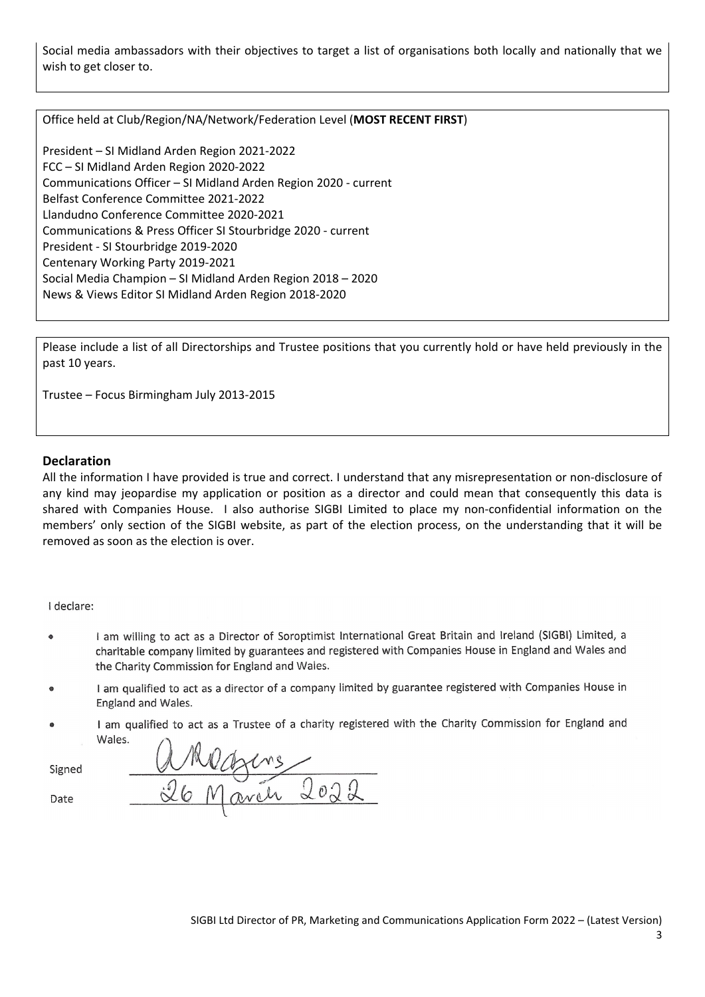Social media ambassadors with their objectives to target a list of organisations both locally and nationally that we wish to get closer to.

Office held at Club/Region/NA/Network/Federation Level (**MOST RECENT FIRST**)

President – SI Midland Arden Region 2021-2022 FCC – SI Midland Arden Region 2020-2022 Communications Officer – SI Midland Arden Region 2020 - current Belfast Conference Committee 2021-2022 Llandudno Conference Committee 2020-2021 Communications & Press Officer SI Stourbridge 2020 - current President - SI Stourbridge 2019-2020 Centenary Working Party 2019-2021 Social Media Champion – SI Midland Arden Region 2018 – 2020 News & Views Editor SI Midland Arden Region 2018-2020

Please include a list of all Directorships and Trustee positions that you currently hold or have held previously in the past 10 years.

Trustee – Focus Birmingham July 2013-2015

#### **Declaration**

All the information I have provided is true and correct. I understand that any misrepresentation or non-disclosure of any kind may jeopardise my application or position as a director and could mean that consequently this data is shared with Companies House. I also authorise SIGBI Limited to place my non-confidential information on the members' only section of the SIGBI website, as part of the election process, on the understanding that it will be removed as soon as the election is over.

I declare:

- I am willing to act as a Director of Soroptimist International Great Britain and Ireland (SIGBI) Limited, a charitable company limited by guarantees and registered with Companies House in England and Wales and the Charity Commission for England and Wales.
- I am qualified to act as a director of a company limited by guarantee registered with Companies House in  $\bullet$ England and Wales.
- I am qualified to act as a Trustee of a charity registered with the Charity Commission for England and Wales.  $\triangle$

Signed

Date

| A | Mane  |                                            |
|---|-------|--------------------------------------------|
|   | March | $\bigcirc$ $\bigcirc$ $\bigcirc$<br>$\sim$ |